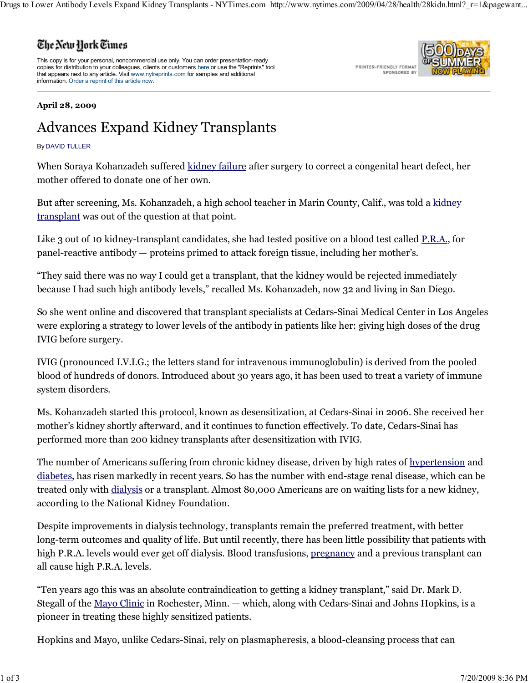## The New York Times

This copy is for your personal, noncommercial use only. You can order presentation-ready copies for distribution to your colleagues, clients or customers here or use the "Reprints" tool that appears next to any article. Visit www.nytreprints.com for samples and additional information. Order a reprint of this article now.

PRINTER-FRIENDLY FORMAT SPONSORED BY



## April 28, 2009

## Advances Expand Kidney Transplants

## By DAVID TULLER

When Soraya Kohanzadeh suffered kidney failure after surgery to correct a congenital heart defect, her mother offered to donate one of her own.

But after screening, Ms. Kohanzadeh, a high school teacher in Marin County, Calif., was told a kidney transplant was out of the question at that point.

Like 3 out of 10 kidney-transplant candidates, she had tested positive on a blood test called P.R.A., for panel-reactive antibody — proteins primed to attack foreign tissue, including her mother's.

"They said there was no way I could get a transplant, that the kidney would be rejected immediately because I had such high antibody levels," recalled Ms. Kohanzadeh, now 32 and living in San Diego.

So she went online and discovered that transplant specialists at Cedars-Sinai Medical Center in Los Angeles were exploring a strategy to lower levels of the antibody in patients like her: giving high doses of the drug IVIG before surgery.

IVIG (pronounced I.V.I.G.; the letters stand for intravenous immunoglobulin) is derived from the pooled blood of hundreds of donors. Introduced about 30 years ago, it has been used to treat a variety of immune system disorders.

Ms. Kohanzadeh started this protocol, known as desensitization, at Cedars-Sinai in 2006. She received her mother's kidney shortly afterward, and it continues to function effectively. To date, Cedars-Sinai has performed more than 200 kidney transplants after desensitization with IVIG.

The number of Americans suffering from chronic kidney disease, driven by high rates of hypertension and diabetes, has risen markedly in recent years. So has the number with end-stage renal disease, which can be treated only with dialysis or a transplant. Almost 80,000 Americans are on waiting lists for a new kidney, according to the National Kidney Foundation.

Despite improvements in dialysis technology, transplants remain the preferred treatment, with better long-term outcomes and quality of life. But until recently, there has been little possibility that patients with high P.R.A. levels would ever get off dialysis. Blood transfusions, pregnancy and a previous transplant can all cause high P.R.A. levels.

"Ten years ago this was an absolute contraindication to getting a kidney transplant," said Dr. Mark D. Stegall of the <u>Mayo Clinic</u> in Rochester, Minn. — which, along with Cedars-Sinai and Johns Hopkins, is a pioneer in treating these highly sensitized patients.

Hopkins and Mayo, unlike Cedars-Sinai, rely on plasmapheresis, a blood-cleansing process that can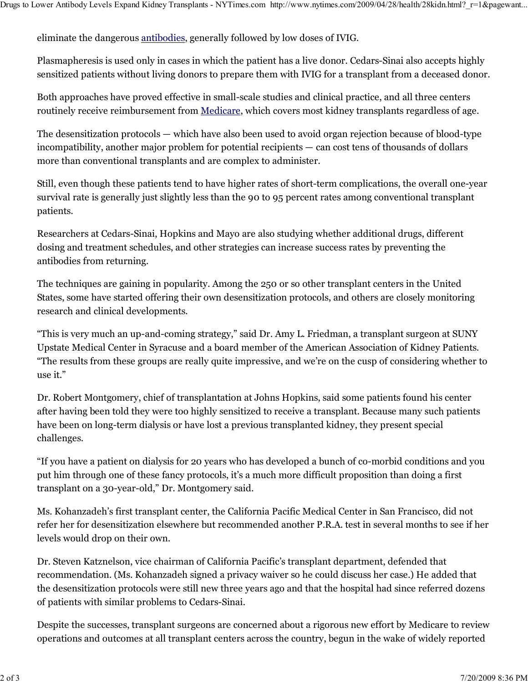eliminate the dangerous antibodies, generally followed by low doses of IVIG.

Plasmapheresis is used only in cases in which the patient has a live donor. Cedars-Sinai also accepts highly sensitized patients without living donors to prepare them with IVIG for a transplant from a deceased donor.

Both approaches have proved effective in small-scale studies and clinical practice, and all three centers routinely receive reimbursement from Medicare, which covers most kidney transplants regardless of age.

The desensitization protocols — which have also been used to avoid organ rejection because of blood-type incompatibility, another major problem for potential recipients — can cost tens of thousands of dollars more than conventional transplants and are complex to administer.

Still, even though these patients tend to have higher rates of short-term complications, the overall one-year survival rate is generally just slightly less than the 90 to 95 percent rates among conventional transplant patients.

Researchers at Cedars-Sinai, Hopkins and Mayo are also studying whether additional drugs, different dosing and treatment schedules, and other strategies can increase success rates by preventing the antibodies from returning.

The techniques are gaining in popularity. Among the 250 or so other transplant centers in the United States, some have started offering their own desensitization protocols, and others are closely monitoring research and clinical developments.

"This is very much an up-and-coming strategy," said Dr. Amy L. Friedman, a transplant surgeon at SUNY Upstate Medical Center in Syracuse and a board member of the American Association of Kidney Patients. "The results from these groups are really quite impressive, and we're on the cusp of considering whether to use it."

Dr. Robert Montgomery, chief of transplantation at Johns Hopkins, said some patients found his center after having been told they were too highly sensitized to receive a transplant. Because many such patients have been on long-term dialysis or have lost a previous transplanted kidney, they present special challenges.

"If you have a patient on dialysis for 20 years who has developed a bunch of co-morbid conditions and you put him through one of these fancy protocols, it's a much more difficult proposition than doing a first transplant on a 30-year-old," Dr. Montgomery said.

Ms. Kohanzadeh's first transplant center, the California Pacific Medical Center in San Francisco, did not refer her for desensitization elsewhere but recommended another P.R.A. test in several months to see if her levels would drop on their own.

Dr. Steven Katznelson, vice chairman of California Pacific's transplant department, defended that recommendation. (Ms. Kohanzadeh signed a privacy waiver so he could discuss her case.) He added that the desensitization protocols were still new three years ago and that the hospital had since referred dozens of patients with similar problems to Cedars-Sinai.

Despite the successes, transplant surgeons are concerned about a rigorous new effort by Medicare to review operations and outcomes at all transplant centers across the country, begun in the wake of widely reported